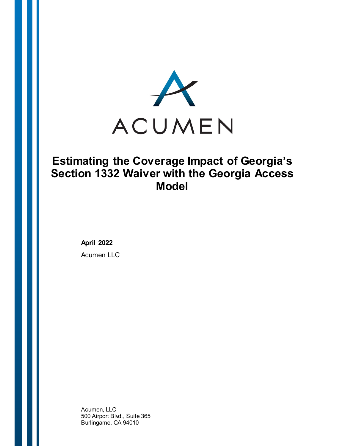

# **Estimating the Coverage Impact of Georgia's Section 1332 Waiver with the Georgia Access Model**

**April 2022**

Acumen LLC

Acumen, LLC 500 Airport Blvd., Suite 365 Burlingame, CA 94010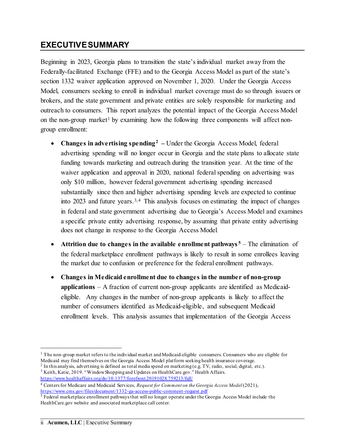# <span id="page-1-5"></span>**EXECUTIVESUMMARY**

Beginning in 2023, Georgia plans to transition the state's individual market away from the Federally-facilitated Exchange (FFE) and to the Georgia Access Model as part of the state's section 1332 waiver application approved on November 1, 2020. Under the Georgia Access Model, consumers seeking to enroll in individual market coverage must do so through issuers or brokers, and the state government and private entities are solely responsible for marketing and outreach to consumers. This report analyzes the potential impact of the Georgia Access Model on the non-group market<sup>[1](#page-1-0)</sup> by examining how the following three components will affect nongroup enrollment:

- **Changes in advertising spending[2](#page-1-1) –** Under the Georgia Access Model, federal advertising spending will no longer occur in Georgia and the state plans to allocate state funding towards marketing and outreach during the transition year. At the time of the waiver application and approval in 2020, national federal spending on advertising was only \$10 million, however federal government advertising spending increased substantially since then and higher advertising spending levels are expected to continue into 202[3](#page-1-2) and future years.<sup>3,[4](#page-1-3)</sup> This analysis focuses on estimating the impact of changes in federal and state government advertising due to Georgia's Access Model and examines a specific private entity advertising response, by assuming that private entity advertising does not change in response to the Georgia Access Model.
- **Attrition due to changes in the available enrollment pathways<sup>[5](#page-1-4)</sup> The elimination of** the federal marketplace enrollment pathways is likely to result in some enrollees leaving the market due to confusion or preference for the federal enrollment pathways.
- **Changes in Medicaid enrollment due to changes in the number of non-group applications** – A fraction of current non-group applicants are identified as Medicaideligible. Any changes in the number of non-group applicants is likely to affect the number of consumers identified as Medicaid-eligible, and subsequent Medicaid enrollment levels. This analysis assumes that implementation of the Georgia Access

 $\overline{a}$ 

<span id="page-1-0"></span> $1$  The non-group market refers to the individual market and Medicaid-eligible consumers. Consumers who are eligible for Medicaid may find themselves on the Georgia Access Model platform seeking health insurance coverage.

<span id="page-1-2"></span><span id="page-1-1"></span><sup>&</sup>lt;sup>2</sup> In this analysis, advertising is defined as total media spend on marketing (e.g. TV, radio, social, digital, etc.). <sup>3</sup> Keith, Katie, 2019. "Window Shopping and Updates on HealthCare.gov." Health Affairs.

<https://www.healthaffairs.org/do/10.1377/forefront.20191028.759213/full/>

<span id="page-1-3"></span><sup>4</sup> Centers for Medicare and Medicaid Services, *Request for Comment on the Georgia Access Model* (2021), <https://www.cms.gov/files/document/1332-ga-access-public-comment-request.pdf>

<span id="page-1-4"></span> $\frac{5}{3}$  Federal marketplace enrollment pathways that will no longer operate under the Georgia Access Model include the HealthCare.gov website and associated marketplace call center.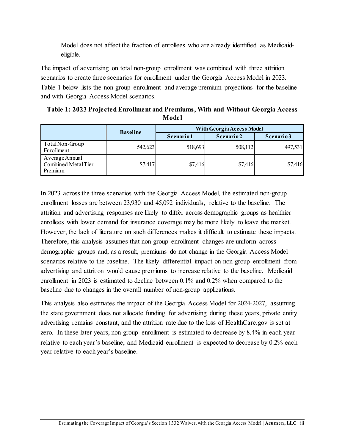Model does not affect the fraction of enrollees who are already identified as Medicaideligible.

The impact of advertising on total non-group enrollment was combined with three attrition scenarios to create three scenarios for enrollment under the Georgia Access Model in 2023. Table 1 below lists the non-group enrollment and average premium projections for the baseline and with Georgia Access Model scenarios.

<span id="page-2-0"></span>

| Table 1: 2023 Projected Enrollment and Premiums, With and Without Georgia Access |  |
|----------------------------------------------------------------------------------|--|
| Model                                                                            |  |

|                                                  | <b>Baseline</b> | <b>With Georgia Access Model</b> |            |            |  |
|--------------------------------------------------|-----------------|----------------------------------|------------|------------|--|
|                                                  |                 | Scenario 1                       | Scenario 2 | Scenario 3 |  |
| Total Non-Group<br>Enrollment                    | 542,623         | 518,693                          | 508,112    | 497,531    |  |
| Average Annual<br>Combined Metal Tier<br>Premium | \$7,417         | \$7,416                          | \$7,416    | \$7,416    |  |

In 2023 across the three scenarios with the Georgia Access Model, the estimated non-group enrollment losses are between 23,930 and 45,092 individuals, relative to the baseline. The attrition and advertising responses are likely to differ across demographic groups as healthier enrollees with lower demand for insurance coverage may be more likely to leave the market. However, the lack of literature on such differences makes it difficult to estimate these impacts. Therefore, this analysis assumes that non-group enrollment changes are uniform across demographic groups and, as a result, premiums do not change in the Georgia Access Model scenarios relative to the baseline. The likely differential impact on non-group enrollment from advertising and attrition would cause premiums to increase relative to the baseline. Medicaid enrollment in 2023 is estimated to decline between 0.1% and 0.2% when compared to the baseline due to changes in the overall number of non-group applications.

This analysis also estimates the impact of the Georgia Access Model for 2024-2027, assuming the state government does not allocate funding for advertising during these years, private entity advertising remains constant, and the attrition rate due to the loss of HealthCare.gov is set at zero. In these later years, non-group enrollment is estimated to decrease by 8.4% in each year relative to each year's baseline, and Medicaid enrollment is expected to decrease by 0.2% each year relative to each year's baseline.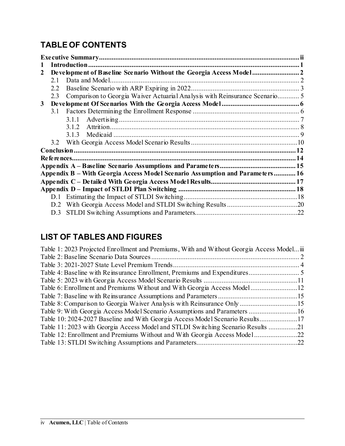# **TABLE OF CONTENTS**

| 2 |     |                                                                              |  |
|---|-----|------------------------------------------------------------------------------|--|
|   | 2.1 |                                                                              |  |
|   | 2.2 |                                                                              |  |
|   | 2.3 | Comparison to Georgia Waiver Actuarial Analysis with Reinsurance Scenario 5  |  |
| 3 |     |                                                                              |  |
|   | 3.1 |                                                                              |  |
|   |     | 3.1.1                                                                        |  |
|   |     | 3.1.2                                                                        |  |
|   |     |                                                                              |  |
|   |     |                                                                              |  |
|   |     |                                                                              |  |
|   |     |                                                                              |  |
|   |     |                                                                              |  |
|   |     | Appendix B – With Georgia Access Model Scenario Assumption and Parameters 16 |  |
|   |     |                                                                              |  |
|   |     |                                                                              |  |
|   |     |                                                                              |  |
|   | D.2 |                                                                              |  |
|   | D.3 |                                                                              |  |

# **LIST OF TABLES AND FIGURES**

| Table 1: 2023 Projected Enrollment and Premiums, With and Without Georgia Access Modeliii |  |
|-------------------------------------------------------------------------------------------|--|
|                                                                                           |  |
|                                                                                           |  |
|                                                                                           |  |
|                                                                                           |  |
| Table 6: Enrollment and Premiums Without and With Georgia Access Model12                  |  |
|                                                                                           |  |
|                                                                                           |  |
|                                                                                           |  |
| Table 10: 2024-2027 Baseline and With Georgia Access Model Scenario Results17             |  |
| Table 11:2023 with Georgia Access Model and STLDI Switching Scenario Results 21           |  |
| Table 12: Enrollment and Premiums Without and With Georgia Access Model22                 |  |
|                                                                                           |  |
|                                                                                           |  |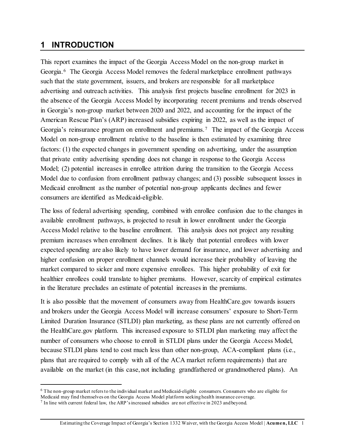### <span id="page-4-0"></span>**1 INTRODUCTION**

 $\overline{a}$ 

This report examines the impact of the Georgia Access Model on the non-group market in Georgia.[6](#page-4-1) The Georgia Access Model removes the federal marketplace enrollment pathways such that the state government, issuers, and brokers are responsible for all marketplace advertising and outreach activities. This analysis first projects baseline enrollment for 2023 in the absence of the Georgia Access Model by incorporating recent premiums and trends observed in Georgia's non-group market between 2020 and 2022, and accounting for the impact of the American Rescue Plan's (ARP) increased subsidies expiring in 2022, as well as the impact of Georgia's reinsurance program on enrollment and premiums.<sup>[7](#page-4-2)</sup> The impact of the Georgia Access Model on non-group enrollment relative to the baseline is then estimated by examining three factors: (1) the expected changes in government spending on advertising, under the assumption that private entity advertising spending does not change in response to the Georgia Access Model; (2) potential increases in enrollee attrition during the transition to the Georgia Access Model due to confusion from enrollment pathway changes; and (3) possible subsequent losses in Medicaid enrollment as the number of potential non-group applicants declines and fewer consumers are identified as Medicaid-eligible.

The loss of federal advertising spending, combined with enrollee confusion due to the changes in available enrollment pathways, is projected to result in lower enrollment under the Georgia Access Model relative to the baseline enrollment. This analysis does not project any resulting premium increases when enrollment declines. It is likely that potential enrollees with lower expected spending are also likely to have lower demand for insurance, and lower advertising and higher confusion on proper enrollment channels would increase their probability of leaving the market compared to sicker and more expensive enrollees. This higher probability of exit for healthier enrollees could translate to higher premiums. However, scarcity of empirical estimates in the literature precludes an estimate of potential increases in the premiums.

It is also possible that the movement of consumers away from HealthCare.gov towards issuers and brokers under the Georgia Access Model will increase consumers' exposure to Short-Term Limited Duration Insurance (STLDI) plan marketing, as these plans are not currently offered on the HealthCare.gov platform. This increased exposure to STLDI plan marketing may affect the number of consumers who choose to enroll in STLDI plans under the Georgia Access Model, because STLDI plans tend to cost much less than other non-group, ACA-compliant plans (i.e., plans that are required to comply with all of the ACA market reform requirements) that are available on the market (in this case, not including grandfathered or grandmothered plans). An

<span id="page-4-1"></span><sup>6</sup> The non-group market refers to the individual market and Medicaid-eligible consumers. Consumers who are eligible for Medicaid may find themselves on the Georgia Access Model platform seeking health insurance coverage.

<span id="page-4-2"></span><sup>7</sup> In line with current federal law, the ARP's increased subsidies are not effective in 2023 and beyond.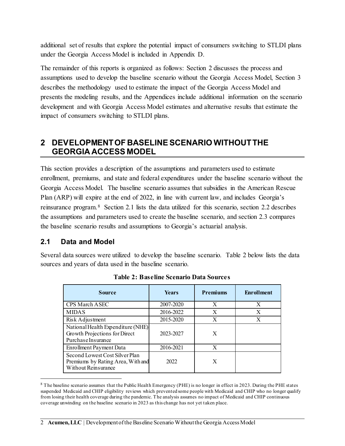additional set of results that explore the potential impact of consumers switching to STLDI plans under the Georgia Access Model is included in Appendix D.

The remainder of this reports is organized as follows: Section 2 discusses the process and assumptions used to develop the baseline scenario without the Georgia Access Model, Section 3 describes the methodology used to estimate the impact of the Georgia Access Model and presents the modeling results, and the Appendices include additional information on the scenario development and with Georgia Access Model estimates and alternative results that estimate the impact of consumers switching to STLDI plans.

# <span id="page-5-0"></span>**2 DEVELOPMENT OF BASELINE SCENARIO WITHOUTTHE GEORGIA ACCESS MODEL**

This section provides a description of the assumptions and parameters used to estimate enrollment, premiums, and state and federal expenditures under the baseline scenario without the Georgia Access Model. The baseline scenario assumes that subsidies in the American Rescue Plan (ARP) will expire at the end of 2022, in line with current law, and includes Georgia's reinsurance program.[8](#page-5-3) Section 2.1 lists the data utilized for this scenario, section 2.2 describes the assumptions and parameters used to create the baseline scenario, and section 2.3 compares the baseline scenario results and assumptions to Georgia's actuarial analysis.

### <span id="page-5-1"></span>**2.1 Data and Model**

l

<span id="page-5-2"></span>Several data sources were utilized to develop the baseline scenario. Table 2 below lists the data sources and years of data used in the baseline scenario.

| <b>Source</b>                                                                              | <b>Years</b> | <b>Premiums</b> | <b>Enrollment</b> |
|--------------------------------------------------------------------------------------------|--------------|-----------------|-------------------|
| CPS March ASEC                                                                             | 2007-2020    | X               | X                 |
| <b>MIDAS</b>                                                                               | 2016-2022    | X               | X                 |
| Risk Adjustment                                                                            | 2015-2020    | X               | X                 |
| National Health Expenditure (NHE)<br>Growth Projections for Direct<br>PurchaseInsurance    | 2023-2027    | X               |                   |
| Enrollment Payment Data                                                                    | 2016-2021    | X               |                   |
| Second Lowest Cost Silver Plan<br>Premiums by Rating Area, With and<br>Without Reinsurance | 2022         | X               |                   |

**Table 2: Baseline Scenario Data Sources**

<span id="page-5-3"></span> $8$  The baseline scenario assumes that the Public Health Emergency (PHE) is no longer in effect in 2023. During the PHE states suspended Medicaid and CHIP eligibility reviews which prevented some people with Medicaid and CHIP who no longer qualify from losing their health coverage during the pandemic. The analysis assumes no impact of Medicaid and CHIP continuous coverage unwinding on the baseline scenario in 2023 as this change has not yet taken place.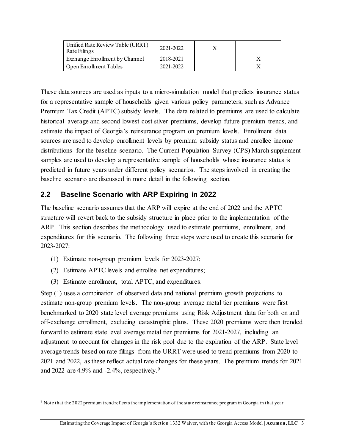| Unified Rate Review Table (URRT)<br>Rate Filings | 2021-2022 |  |
|--------------------------------------------------|-----------|--|
| Exchange Enrollment by Channel                   | 2018-2021 |  |
| Open Enrollment Tables                           | 2021-2022 |  |

These data sources are used as inputs to a micro-simulation model that predicts insurance status for a representative sample of households given various policy parameters, such as Advance Premium Tax Credit (APTC) subsidy levels. The data related to premiums are used to calculate historical average and second lowest cost silver premiums, develop future premium trends, and estimate the impact of Georgia's reinsurance program on premium levels. Enrollment data sources are used to develop enrollment levels by premium subsidy status and enrollee income distributions for the baseline scenario. The Current Population Survey (CPS) March supplement samples are used to develop a representative sample of households whose insurance status is predicted in future years under different policy scenarios. The steps involved in creating the baseline scenario are discussed in more detail in the following section.

#### <span id="page-6-0"></span>**2.2 Baseline Scenario with ARP Expiring in 2022**

The baseline scenario assumes that the ARP will expire at the end of 2022 and the APTC structure will revert back to the subsidy structure in place prior to the implementation of the ARP. This section describes the methodology used to estimate premiums, enrollment, and expenditures for this scenario. The following three steps were used to create this scenario for 2023-2027:

- (1) Estimate non-group premium levels for 2023-2027;
- (2) Estimate APTC levels and enrollee net expenditures;
- (3) Estimate enrollment, total APTC, and expenditures.

l

Step (1) uses a combination of observed data and national premium growth projections to estimate non-group premium levels. The non-group average metal tier premiums were first benchmarked to 2020 state level average premiums using Risk Adjustment data for both on and off-exchange enrollment, excluding catastrophic plans. These 2020 premiums were then trended forward to estimate state level average metal tier premiums for 2021-2027, including an adjustment to account for changes in the risk pool due to the expiration of the ARP. State level average trends based on rate filings from the URRT were used to trend premiums from 2020 to 2021 and 2022, as these reflect actual rate changes for these years. The premium trends for 2021 and 2022 are 4.9% and -2.4%, respectively.[9](#page-6-1)

<span id="page-6-1"></span><sup>9</sup> Note that the 2022 premium trend reflects the implementation of the state reinsurance program in Georgia in that year.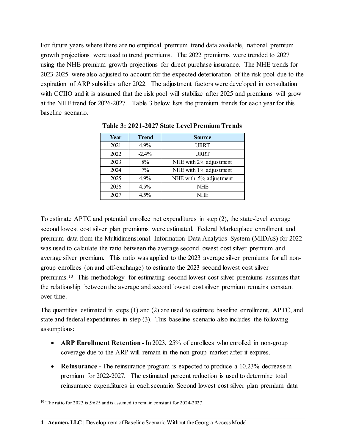For future years where there are no empirical premium trend data available, national premium growth projections were used to trend premiums. The 2022 premiums were trended to 2027 using the NHE premium growth projections for direct purchase insurance. The NHE trends for 2023-2025 were also adjusted to account for the expected deterioration of the risk pool due to the expiration of ARP subsidies after 2022. The adjustment factors were developed in consultation with CCIIO and it is assumed that the risk pool will stabilize after 2025 and premiums will grow at the NHE trend for 2026-2027. Table 3 below lists the premium trends for each year for this baseline scenario.

<span id="page-7-0"></span>

| Year | <b>Trend</b> | <b>Source</b>           |
|------|--------------|-------------------------|
| 2021 | 4.9%         | <b>URRT</b>             |
| 2022 | $-2.4\%$     | <b>URRT</b>             |
| 2023 | 8%           | NHE with 2% adjustment  |
| 2024 | $7\%$        | NHE with 1% adjustment  |
| 2025 | 4.9%         | NHE with .5% adjustment |
| 2026 | 4.5%         | <b>NHE</b>              |
| 2027 | 4.5%         | <b>NHE</b>              |

**Table 3: 2021-2027 State Level Premium Trends**

To estimate APTC and potential enrollee net expenditures in step (2), the state-level average second lowest cost silver plan premiums were estimated. Federal Marketplace enrollment and premium data from the Multidimensional Information Data Analytics System (MIDAS) for 2022 was used to calculate the ratio between the average second lowest cost silver premium and average silver premium. This ratio was applied to the 2023 average silver premiums for all nongroup enrollees (on and off-exchange) to estimate the 2023 second lowest cost silver premiums.[10](#page-7-1) This methodology for estimating second lowest cost silver premiums assumes that the relationship between the average and second lowest cost silver premium remains constant over time.

The quantities estimated in steps (1) and (2) are used to estimate baseline enrollment, APTC, and state and federal expenditures in step (3). This baseline scenario also includes the following assumptions:

- **ARP Enrollment Retention -** In 2023, 25% of enrollees who enrolled in non-group coverage due to the ARP will remain in the non-group market after it expires.
- **Reinsurance** The reinsurance program is expected to produce a 10.23% decrease in premium for 2022-2027. The estimated percent reduction is used to determine total reinsurance expenditures in each scenario. Second lowest cost silver plan premium data

l

<span id="page-7-1"></span><sup>&</sup>lt;sup>10</sup> The ratio for 2023 is .9625 and is assumed to remain constant for 2024-2027.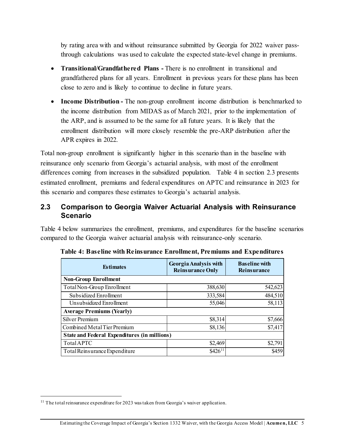by rating area with and without reinsurance submitted by Georgia for 2022 waiver passthrough calculations was used to calculate the expected state-level change in premiums.

- **Transitional/Grandfathered Plans -** There is no enrollment in transitional and grandfathered plans for all years. Enrollment in previous years for these plans has been close to zero and is likely to continue to decline in future years.
- **Income Distribution -** The non-group enrollment income distribution is benchmarked to the income distribution from MIDAS as of March 2021, prior to the implementation of the ARP, and is assumed to be the same for all future years. It is likely that the enrollment distribution will more closely resemble the pre-ARP distribution after the APR expires in 2022.

Total non-group enrollment is significantly higher in this scenario than in the baseline with reinsurance only scenario from Georgia's actuarial analysis, with most of the enrollment differences coming from increases in the subsidized population. Table 4 in section 2.3 presents estimated enrollment, premiums and federal expenditures on APTC and reinsurance in 2023 for this scenario and compares these estimates to Georgia's actuarial analysis.

#### <span id="page-8-0"></span>**2.3 Comparison to Georgia Waiver Actuarial Analysis with Reinsurance Scenario**

Table 4 below summarizes the enrollment, premiums, and expenditures for the baseline scenarios compared to the Georgia waiver actuarial analysis with reinsurance-only scenario.

| <b>Estimates</b>                                    | Georgia Analysis with<br><b>Reinsurance Only</b> | <b>Baseline with</b><br><b>Reinsurance</b> |  |  |
|-----------------------------------------------------|--------------------------------------------------|--------------------------------------------|--|--|
| <b>Non-Group Enrollment</b>                         |                                                  |                                            |  |  |
| Total Non-Group Enrollment                          | 388,630                                          | 542,623                                    |  |  |
| Subsidized Enrollment                               | 333,584                                          | 484,510                                    |  |  |
| Unsubsidized Enrollment                             | 55,046                                           | 58,113                                     |  |  |
| <b>Average Premiums (Yearly)</b>                    |                                                  |                                            |  |  |
| <b>Silver Premium</b>                               | \$8,314                                          | \$7,666                                    |  |  |
| Combined Metal Tier Premium                         | \$8,136                                          | \$7,417                                    |  |  |
| <b>State and Federal Expenditures (in millions)</b> |                                                  |                                            |  |  |
| TotalAPTC                                           | \$2,469                                          | \$2,791                                    |  |  |
| Total Reinsurance Expenditure                       | $$426^{11}$                                      | \$459                                      |  |  |

<span id="page-8-1"></span>**Table 4: Baseline with Reinsurance Enrollment, Premiums and Expenditures**

l

<span id="page-8-2"></span><sup>&</sup>lt;sup>11</sup> The total reinsurance expenditure for 2023 was taken from Georgia's waiver application.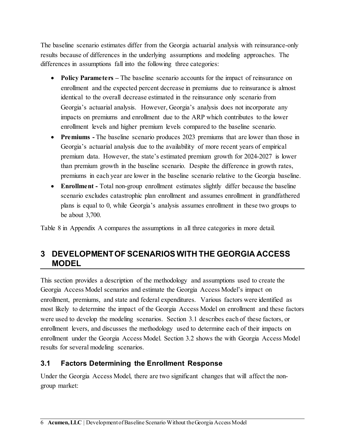The baseline scenario estimates differ from the Georgia actuarial analysis with reinsurance-only results because of differences in the underlying assumptions and modeling approaches. The differences in assumptions fall into the following three categories:

- **Policy Parameters** The baseline scenario accounts for the impact of reinsurance on enrollment and the expected percent decrease in premiums due to reinsurance is almost identical to the overall decrease estimated in the reinsurance only scenario from Georgia's actuarial analysis. However, Georgia's analysis does not incorporate any impacts on premiums and enrollment due to the ARP which contributes to the lower enrollment levels and higher premium levels compared to the baseline scenario.
- **Premiums** The baseline scenario produces 2023 premiums that are lower than those in Georgia's actuarial analysis due to the availability of more recent years of empirical premium data. However, the state's estimated premium growth for 2024-2027 is lower than premium growth in the baseline scenario. Despite the difference in growth rates, premiums in each year are lower in the baseline scenario relative to the Georgia baseline.
- **Enrollment** Total non-group enrollment estimates slightly differ because the baseline scenario excludes catastrophic plan enrollment and assumes enrollment in grandfathered plans is equal to 0, while Georgia's analysis assumes enrollment in these two groups to be about 3,700.

Table 8 in Appendix A compares the assumptions in all three categories in more detail.

# <span id="page-9-0"></span>**3 DEVELOPMENT OFSCENARIOS WITH THE GEORGIA ACCESS MODEL**

This section provides a description of the methodology and assumptions used to create the Georgia Access Model scenarios and estimate the Georgia Access Model's impact on enrollment, premiums, and state and federal expenditures. Various factors were identified as most likely to determine the impact of the Georgia Access Model on enrollment and these factors were used to develop the modeling scenarios. Section 3.1 describes each of these factors, or enrollment levers, and discusses the methodology used to determine each of their impacts on enrollment under the Georgia Access Model. Section 3.2 shows the with Georgia Access Model results for several modeling scenarios.

### <span id="page-9-1"></span>**3.1 Factors Determining the Enrollment Response**

Under the Georgia Access Model, there are two significant changes that will affect the nongroup market: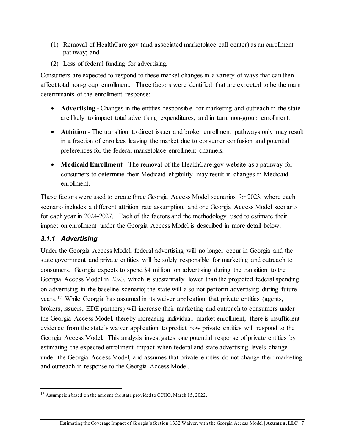- (1) Removal of HealthCare.gov (and associated marketplace call center) as an enrollment pathway; and
- (2) Loss of federal funding for advertising.

Consumers are expected to respond to these market changes in a variety of ways that can then affect total non-group enrollment. Three factors were identified that are expected to be the main determinants of the enrollment response:

- **Advertising** Changes in the entities responsible for marketing and outreach in the state are likely to impact total advertising expenditures, and in turn, non-group enrollment.
- **Attrition** The transition to direct issuer and broker enrollment pathways only may result in a fraction of enrollees leaving the market due to consumer confusion and potential preferences for the federal marketplace enrollment channels.
- **Medicaid Enrollment** The removal of the HealthCare.gov website as a pathway for consumers to determine their Medicaid eligibility may result in changes in Medicaid enrollment.

These factors were used to create three Georgia Access Model scenarios for 2023, where each scenario includes a different attrition rate assumption, and one Georgia Access Model scenario for each year in 2024-2027. Each of the factors and the methodology used to estimate their impact on enrollment under the Georgia Access Model is described in more detail below.

### <span id="page-10-0"></span>*3.1.1 Advertising*

 $\overline{a}$ 

Under the Georgia Access Model, federal advertising will no longer occur in Georgia and the state government and private entities will be solely responsible for marketing and outreach to consumers. Georgia expects to spend \$4 million on advertising during the transition to the Georgia Access Model in 2023, which is substantially lower than the projected federal spending on advertising in the baseline scenario; the state will also not perform advertising during future years.[12](#page-10-1) While Georgia has assumed in its waiver application that private entities (agents, brokers, issuers, EDE partners) will increase their marketing and outreach to consumers under the Georgia Access Model, thereby increasing individual market enrollment, there is insufficient evidence from the state's waiver application to predict how private entities will respond to the Georgia Access Model. This analysis investigates one potential response of private entities by estimating the expected enrollment impact when federal and state advertising levels change under the Georgia Access Model, and assumes that private entities do not change their marketing and outreach in response to the Georgia Access Model.

<span id="page-10-1"></span><sup>&</sup>lt;sup>12</sup> Assumption based on the amount the state provided to CCIIO, March 15, 2022.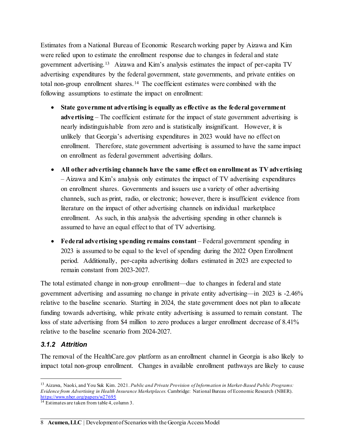Estimates from a National Bureau of Economic Research working paper by Aizawa and Kim were relied upon to estimate the enrollment response due to changes in federal and state government advertising.[13](#page-11-1) Aizawa and Kim's analysis estimates the impact of per-capita TV advertising expenditures by the federal government, state governments, and private entities on total non-group enrollment shares.[14](#page-11-2) The coefficient estimates were combined with the following assumptions to estimate the impact on enrollment:

- **State government advertising is equally as effective as the federal government advertising** – The coefficient estimate for the impact of state government advertising is nearly indistinguishable from zero and is statistically insignificant. However, it is unlikely that Georgia's advertising expenditures in 2023 would have no effect on enrollment. Therefore, state government advertising is assumed to have the same impact on enrollment as federal government advertising dollars.
- **All other advertising channels have the same effect on enrollment as TV advertising** – Aizawa and Kim's analysis only estimates the impact of TV advertising expenditures on enrollment shares. Governments and issuers use a variety of other advertising channels, such as print, radio, or electronic; however, there is insufficient evidence from literature on the impact of other advertising channels on individual marketplace enrollment. As such, in this analysis the advertising spending in other channels is assumed to have an equal effect to that of TV advertising.
- **Federal advertising spending remains constant** Federal government spending in 2023 is assumed to be equal to the level of spending during the 2022 Open Enrollment period. Additionally, per-capita advertising dollars estimated in 2023 are expected to remain constant from 2023-2027.

The total estimated change in non-group enrollment—due to changes in federal and state government advertising and assuming no change in private entity advertising—in 2023 is -2.46% relative to the baseline scenario. Starting in 2024, the state government does not plan to allocate funding towards advertising, while private entity advertising is assumed to remain constant. The loss of state advertising from \$4 million to zero produces a larger enrollment decrease of 8.41% relative to the baseline scenario from 2024-2027.

#### <span id="page-11-0"></span>*3.1.2 Attrition*

l

The removal of the HealthCare.gov platform as an enrollment channel in Georgia is also likely to impact total non-group enrollment. Changes in available enrollment pathways are likely to cause

<span id="page-11-1"></span><sup>13</sup> Aizawa, Naoki, and You Suk Kim. 2021. *Public and Private Provision of Information in Market-Based Public Programs: Evidence from Advertising in Health Insurance Marketplaces.* Cambridge: National Bureau of Economic Research (NBER). <https://www.nber.org/papers/w27695>

<span id="page-11-2"></span> $14$  Estimates are taken from table 4, column 3.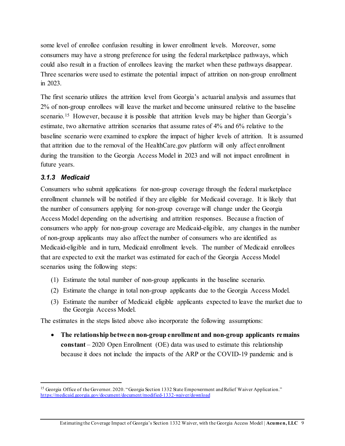some level of enrollee confusion resulting in lower enrollment levels. Moreover, some consumers may have a strong preference for using the federal marketplace pathways, which could also result in a fraction of enrollees leaving the market when these pathways disappear. Three scenarios were used to estimate the potential impact of attrition on non-group enrollment in 2023.

The first scenario utilizes the attrition level from Georgia's actuarial analysis and assumes that 2% of non-group enrollees will leave the market and become uninsured relative to the baseline scenario.<sup>[15](#page-12-1)</sup> However, because it is possible that attrition levels may be higher than Georgia's estimate, two alternative attrition scenarios that assume rates of 4% and 6% relative to the baseline scenario were examined to explore the impact of higher levels of attrition. It is assumed that attrition due to the removal of the HealthCare.gov platform will only affect enrollment during the transition to the Georgia Access Model in 2023 and will not impact enrollment in future years.

#### <span id="page-12-0"></span>*3.1.3 Medicaid*

l

Consumers who submit applications for non-group coverage through the federal marketplace enrollment channels will be notified if they are eligible for Medicaid coverage. It is likely that the number of consumers applying for non-group coverage will change under the Georgia Access Model depending on the advertising and attrition responses. Because a fraction of consumers who apply for non-group coverage are Medicaid-eligible, any changes in the number of non-group applicants may also affect the number of consumers who are identified as Medicaid-eligible and in turn, Medicaid enrollment levels. The number of Medicaid enrollees that are expected to exit the market was estimated for each of the Georgia Access Model scenarios using the following steps:

- (1) Estimate the total number of non-group applicants in the baseline scenario.
- (2) Estimate the change in total non-group applicants due to the Georgia Access Model.
- (3) Estimate the number of Medicaid eligible applicants expected to leave the market due to the Georgia Access Model.

The estimates in the steps listed above also incorporate the following assumptions:

• **The relationship between non-group enrollment and non-group applicants remains constant** – 2020 Open Enrollment (OE) data was used to estimate this relationship because it does not include the impacts of the ARP or the COVID-19 pandemic and is

<span id="page-12-1"></span><sup>&</sup>lt;sup>15</sup> Georgia Office of the Governor. 2020. "Georgia Section 1332 State Empowerment and Relief Waiver Application." <https://medicaid.georgia.gov/document/document/modified-1332-waiver/download>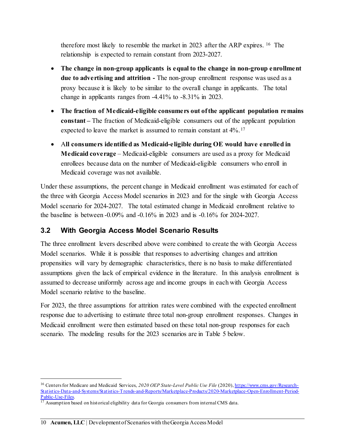therefore most likely to resemble the market in 2023 after the ARP expires. [16](#page-13-1) The relationship is expected to remain constant from 2023-2027.

- **The change in non-group applicants is equal to the change in non-group enrollment due to advertising and attrition -** The non-group enrollment response was used as a proxy because it is likely to be similar to the overall change in applicants. The total change in applicants ranges from -4.41% to -8.31% in 2023.
- **The fraction of Medicaid-eligible consumers out of the applicant population remains constant –** The fraction of Medicaid-eligible consumers out of the applicant population expected to leave the market is assumed to remain constant at  $4\%$ .<sup>[17](#page-13-2)</sup>
- A**ll consumers identified as Medicaid-eligible during OE would have enrolled in Medicaid coverage** – Medicaid-eligible consumers are used as a proxy for Medicaid enrollees because data on the number of Medicaid-eligible consumers who enroll in Medicaid coverage was not available.

Under these assumptions, the percent change in Medicaid enrollment was estimated for each of the three with Georgia Access Model scenarios in 2023 and for the single with Georgia Access Model scenario for 2024-2027. The total estimated change in Medicaid enrollment relative to the baseline is between -0.09% and -0.16% in 2023 and is -0.16% for 2024-2027.

## <span id="page-13-0"></span>**3.2 With Georgia Access Model Scenario Results**

The three enrollment levers described above were combined to create the with Georgia Access Model scenarios. While it is possible that responses to advertising changes and attrition propensities will vary by demographic characteristics, there is no basis to make differentiated assumptions given the lack of empirical evidence in the literature. In this analysis enrollment is assumed to decrease uniformly across age and income groups in each with Georgia Access Model scenario relative to the baseline.

For 2023, the three assumptions for attrition rates were combined with the expected enrollment response due to advertising to estimate three total non-group enrollment responses. Changes in Medicaid enrollment were then estimated based on these total non-group responses for each scenario. The modeling results for the 2023 scenarios are in Table 5 below.

l

<span id="page-13-1"></span><sup>&</sup>lt;sup>16</sup> Centers for Medicare and Medicaid Services, 2020 OEP State-Level Public Use File (2020)[, https://www.cms.gov/Research-](https://www.cms.gov/Research-Statistics-Data-and-Systems/Statistics-Trends-and-Reports/Marketplace-Products/2020-Marketplace-Open-Enrollment-Period-Public-Use-Files)[Statistics-Data-and-Systems/Statistics-Trends-and-Reports/Marketplace-Products/2020-Marketplace-Open-Enrollment-Period-](https://www.cms.gov/Research-Statistics-Data-and-Systems/Statistics-Trends-and-Reports/Marketplace-Products/2020-Marketplace-Open-Enrollment-Period-Public-Use-Files)Public-Use-Files.<br><sup>17</sup> Assumption based on historical eligibility data for Georgia consumers from internal CMS data.

<span id="page-13-2"></span>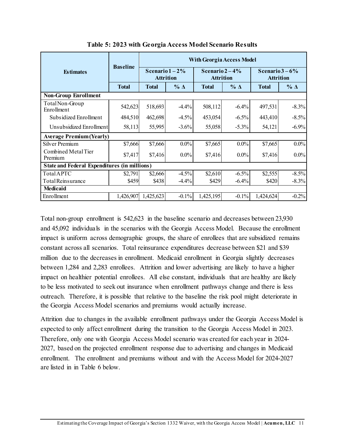<span id="page-14-0"></span>

|                                                     |                 | <b>With Georgia Access Model</b>     |               |                                     |            |                                     |                |
|-----------------------------------------------------|-----------------|--------------------------------------|---------------|-------------------------------------|------------|-------------------------------------|----------------|
| <b>Estimates</b>                                    | <b>Baseline</b> | Scenario $1-2\%$<br><b>Attrition</b> |               | Scenario $2-4%$<br><b>Attrition</b> |            | Scenario $3-6%$<br><b>Attrition</b> |                |
|                                                     | <b>Total</b>    | <b>Total</b>                         | $\%$ $\Delta$ | <b>Total</b>                        | $% \Delta$ | <b>Total</b>                        | $\%$ $\Lambda$ |
| <b>Non-Group Enrollment</b>                         |                 |                                      |               |                                     |            |                                     |                |
| Total Non-Group<br>Enrollment                       | 542,623         | 518,693                              | $-4.4%$       | 508,112                             | $-6.4%$    | 497,531                             | $-8.3%$        |
| Subsidized Enrollment                               | 484,510         | 462,698                              | $-4.5%$       | 453,054                             | $-6.5\%$   | 443,410                             | $-8.5\%$       |
| Unsubsidized Enrollment                             | 58,113          | 55,995                               | $-3.6\%$      | 55,058                              | $-5.3%$    | 54,121                              | $-6.9%$        |
| <b>Average Premium (Yearly)</b>                     |                 |                                      |               |                                     |            |                                     |                |
| Silver Premium                                      | \$7,666         | \$7,666                              | $0.0\%$       | \$7,665                             | $0.0\%$    | \$7,665                             | $0.0\%$        |
| Combined Metal Tier<br>Premium                      | \$7,417         | \$7,416                              | $0.0\%$       | \$7,416                             | $0.0\%$    | \$7,416                             | $0.0\%$        |
| <b>State and Federal Expenditures (in millions)</b> |                 |                                      |               |                                     |            |                                     |                |
| TotalAPTC                                           | \$2,791         | \$2,666                              | $-4.5%$       | \$2,610                             | $-6.5\%$   | \$2,555                             | $-8.5\%$       |
| Total Reinsurance                                   | \$459           | \$438                                | $-4.4%$       | \$429                               | $-6.4\%$   | \$420                               | $-8.3\%$       |
| Medicaid                                            |                 |                                      |               |                                     |            |                                     |                |
| Enrollment                                          | 1,426,907       | 1,425,623                            | $-0.1%$       | 1,425,195                           | $-0.1%$    | 1,424,624                           | $-0.2%$        |

**Table 5: 2023 with Georgia Access Model Scenario Results** 

Total non-group enrollment is 542,623 in the baseline scenario and decreases between 23,930 and 45,092 individuals in the scenarios with the Georgia Access Model. Because the enrollment impact is uniform across demographic groups, the share of enrollees that are subsidized remains constant across all scenarios. Total reinsurance expenditures decrease between \$21 and \$39 million due to the decreases in enrollment. Medicaid enrollment in Georgia slightly decreases between 1,284 and 2,283 enrollees. Attrition and lower advertising are likely to have a higher impact on healthier potential enrollees. All else constant, individuals that are healthy are likely to be less motivated to seek out insurance when enrollment pathways change and there is less outreach. Therefore, it is possible that relative to the baseline the risk pool might deteriorate in the Georgia Access Model scenarios and premiums would actually increase.

Attrition due to changes in the available enrollment pathways under the Georgia Access Model is expected to only affect enrollment during the transition to the Georgia Access Model in 2023. Therefore, only one with Georgia Access Model scenario was created for each year in 2024- 2027, based on the projected enrollment response due to advertising and changes in Medicaid enrollment. The enrollment and premiums without and with the Access Model for 2024-2027 are listed in in Table 6 below.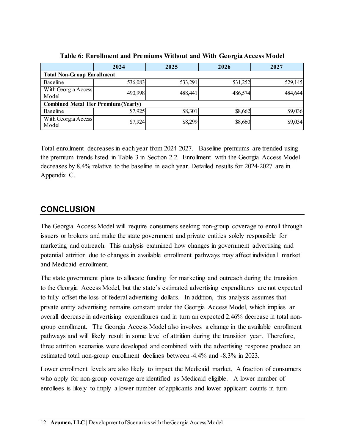<span id="page-15-1"></span>

|                                             | 2024    | 2025    | 2026    | 2027    |
|---------------------------------------------|---------|---------|---------|---------|
| <b>Total Non-Group Enrollment</b>           |         |         |         |         |
| Baseline                                    | 536,083 | 533,291 | 531,252 | 529,145 |
| With Georgia Access<br>Model                | 490,998 | 488,441 | 486,574 | 484,644 |
| <b>Combined Metal Tier Premium (Yearly)</b> |         |         |         |         |
| Baseline                                    | \$7,925 | \$8,301 | \$8,662 | \$9,036 |
| With Georgia Access<br>Model                | \$7,924 | \$8,299 | \$8,660 | \$9,034 |

**Table 6: Enrollment and Premiums Without and With Georgia Access Model**

Total enrollment decreases in each year from 2024-2027. Baseline premiums are trended using the premium trends listed in Table 3 in Section 2.2. Enrollment with the Georgia Access Model decreases by 8.4% relative to the baseline in each year. Detailed results for 2024-2027 are in Appendix C.

# <span id="page-15-0"></span>**CONCLUSION**

The Georgia Access Model will require consumers seeking non-group coverage to enroll through issuers or brokers and make the state government and private entities solely responsible for marketing and outreach. This analysis examined how changes in government advertising and potential attrition due to changes in available enrollment pathways may affect individual market and Medicaid enrollment.

The state government plans to allocate funding for marketing and outreach during the transition to the Georgia Access Model, but the state's estimated advertising expenditures are not expected to fully offset the loss of federal advertising dollars. In addition, this analysis assumes that private entity advertising remains constant under the Georgia Access Model, which implies an overall decrease in advertising expenditures and in turn an expected 2.46% decrease in total nongroup enrollment. The Georgia Access Model also involves a change in the available enrollment pathways and will likely result in some level of attrition during the transition year. Therefore, three attrition scenarios were developed and combined with the advertising response produce an estimated total non-group enrollment declines between -4.4% and -8.3% in 2023.

Lower enrollment levels are also likely to impact the Medicaid market. A fraction of consumers who apply for non-group coverage are identified as Medicaid eligible. A lower number of enrollees is likely to imply a lower number of applicants and lower applicant counts in turn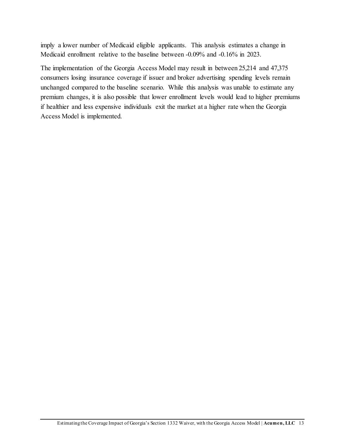imply a lower number of Medicaid eligible applicants. This analysis estimates a change in Medicaid enrollment relative to the baseline between -0.09% and -0.16% in 2023.

<span id="page-16-0"></span>The implementation of the Georgia Access Model may result in between 25,214 and 47,375 consumers losing insurance coverage if issuer and broker advertising spending levels remain unchanged compared to the baseline scenario. While this analysis was unable to estimate any premium changes, it is also possible that lower enrollment levels would lead to higher premiums if healthier and less expensive individuals exit the market at a higher rate when the Georgia Access Model is implemented.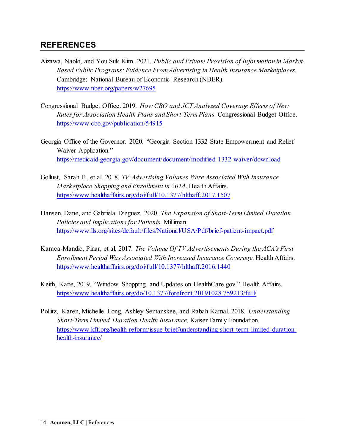## **REFERENCES**

- Aizawa, Naoki, and You Suk Kim. 2021. *Public and Private Provision of Information in Market-Based Public Programs: Evidence From Advertising in Health Insurance Marketplaces.* Cambridge: National Bureau of Economic Research (NBER). <https://www.nber.org/papers/w27695>
- Congressional Budget Office. 2019. *How CBO and JCT Analyzed Coverage Effects of New Rules for Association Health Plans and Short-Term Plans.* Congressional Budget Office. <https://www.cbo.gov/publication/54915>
- Georgia Office of the Governor. 2020. "Georgia Section 1332 State Empowerment and Relief Waiver Application." <https://medicaid.georgia.gov/document/document/modified-1332-waiver/download>
- Gollust, Sarah E., et al. 2018. *TV Advertising Volumes Were Associated With Insurance Marketplace Shopping and Enrollment in 2014*. Health Affairs. <https://www.healthaffairs.org/doi/full/10.1377/hlthaff.2017.1507>
- Hansen, Dane, and Gabriela Dieguez. 2020. *The Expansion of Short-Term Limited Duration Policies and Implications for Patients.* Milliman. <https://www.lls.org/sites/default/files/National/USA/Pdf/brief-patient-impact.pdf>
- Karaca-Mandic, Pinar, et al. 2017. *The Volume Of TV Advertisements During the ACA's First Enrollment Period Was Associated With Increased Insurance Coverage*. Health Affairs. <https://www.healthaffairs.org/doi/full/10.1377/hlthaff.2016.1440>
- Keith, Katie, 2019. "Window Shopping and Updates on HealthCare.gov." Health Affairs. <https://www.healthaffairs.org/do/10.1377/forefront.20191028.759213/full/>
- Pollitz, Karen, Michelle Long, Ashley Semanskee, and Rabah Kamal. 2018. *Understanding Short-Term Limited Duration Health Insurance.* Kaiser Family Foundation. [https://www.kff.org/health-reform/issue-brief/understanding-short-term-limited-duration](https://www.kff.org/health-reform/issue-brief/understanding-short-term-limited-duration-health-insurance/)[health-insurance/](https://www.kff.org/health-reform/issue-brief/understanding-short-term-limited-duration-health-insurance/)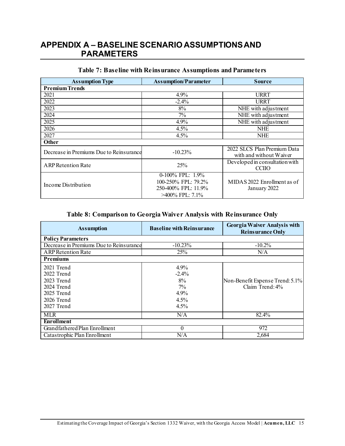# **APPENDIX A – BASELINE SCENARIO ASSUMPTIONS AND PARAMETERS**

<span id="page-18-1"></span>

| <b>Assumption Type</b>                  | <b>Assumption/Parameter</b> | <b>Source</b>                                          |
|-----------------------------------------|-----------------------------|--------------------------------------------------------|
| <b>Premium Trends</b>                   |                             |                                                        |
| 2021                                    | 4.9%                        | <b>URRT</b>                                            |
| 2022                                    | $-2.4%$                     | URRT                                                   |
| 2023                                    | 8%                          | NHE with adjustment                                    |
| 2024                                    | 7%                          | NHE with adjustment                                    |
| 2025                                    | 4.9%                        | NHE with adjustment                                    |
| 2026                                    | 4.5%                        | <b>NHE</b>                                             |
| 2027                                    | 4.5%                        | NHE                                                    |
| <b>Other</b>                            |                             |                                                        |
| Decrease in Premiums Due to Reinsurance | $-10.23%$                   | 2022 SLCS Plan Premium Data<br>with and without Waiver |
| <b>ARP Retention Rate</b>               | 25%                         | Developed in consultation with<br><b>CCIIO</b>         |
|                                         | 0-100% FPL: 1.9%            |                                                        |
| Income Distribution                     | 100-250% FPL: 79.2%         | MIDA S 2022 Enrollment as of                           |
|                                         | 250-400% FPL: 11.9%         | January 2022                                           |
|                                         | >400% FPL: 7.1%             |                                                        |

#### <span id="page-18-0"></span>**Table 7: Baseline with Reinsurance Assumptions and Parameters**

#### **Table 8: Comparison to Georgia Waiver Analysis with Reinsurance Only**

<span id="page-18-2"></span>

| <b>Assumption</b>                       | <b>Baseline with Reinsurance</b> | <b>Georgia Waiver Analysis with</b><br><b>Reinsurance Only</b> |
|-----------------------------------------|----------------------------------|----------------------------------------------------------------|
| <b>Policy Parameters</b>                |                                  |                                                                |
| Decrease in Premiums Due to Reinsurance | $-10.23%$                        | $-10.2%$                                                       |
| <b>ARP</b> Retention Rate               | 25%                              | N/A                                                            |
| <b>Premiums</b>                         |                                  |                                                                |
| 2021 Trend                              | 4.9%                             |                                                                |
| 2022 Trend                              | $-2.4%$                          |                                                                |
| 2023 Trend                              | 8%                               | Non-Benefit Expense Trend: 5.1%                                |
| 2024 Trend                              | $7\%$                            | Claim Trend: 4%                                                |
| 2025 Trend                              | 4.9%                             |                                                                |
| 2026 Trend                              | 4.5%                             |                                                                |
| 2027 Trend                              | 4.5%                             |                                                                |
| <b>MLR</b>                              | N/A                              | 82.4%                                                          |
| <b>Enrollment</b>                       |                                  |                                                                |
| Grandfathered Plan Enrollment           | 0                                | 972                                                            |
| Catastrophic Plan Enrollment            | N/A                              | 2,684                                                          |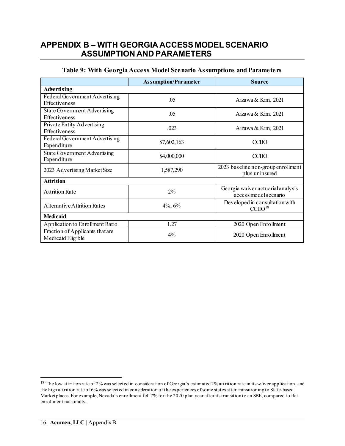### **APPENDIX B – WITH GEORGIA ACCESS MODELSCENARIO ASSUMPTION AND PARAMETERS**

<span id="page-19-1"></span>

|                                                        | <b>Assumption/Parameter</b> | <b>Source</b>                                              |  |  |  |
|--------------------------------------------------------|-----------------------------|------------------------------------------------------------|--|--|--|
| Advertising                                            |                             |                                                            |  |  |  |
| Federal Government Advertising<br><b>Effectiveness</b> | .05                         | Aizawa & Kim, 2021                                         |  |  |  |
| State Government Advertising<br>Effectiveness          | .05                         | Aizawa & Kim, 2021                                         |  |  |  |
| Private Entity Advertising<br>Effectiveness            | .023                        | Aizawa & Kim, 2021                                         |  |  |  |
| Federal Government Advertising<br>Expenditure          | \$7,602,163                 | <b>CCIIO</b>                                               |  |  |  |
| State Government Advertising<br>Expenditure            | \$4,000,000                 | <b>CCIIO</b>                                               |  |  |  |
| 2023 Advertising Market Size                           | 1,587,290                   | 2023 baseline non-group enrollment<br>plus uninsured       |  |  |  |
| <b>Attrition</b>                                       |                             |                                                            |  |  |  |
| <b>Attrition Rate</b>                                  | $2\%$                       | Georgia waiver actuarial analysis<br>access model scenario |  |  |  |
| <b>Alternative Attrition Rates</b>                     | $4\%, 6\%$                  | Developed in consultation with<br>CCIO <sup>18</sup>       |  |  |  |
| <b>Medicaid</b>                                        |                             |                                                            |  |  |  |
| Application to Enrollment Ratio                        | 1.27                        | 2020 Open Enrollment                                       |  |  |  |
| Fraction of Applicants that are<br>Medicaid Eligible   | $4\%$                       | 2020 Open Enrollment                                       |  |  |  |

#### <span id="page-19-0"></span>**Table 9: With Georgia Access Model Scenario Assumptions and Parameters**

 $\overline{a}$ 

<span id="page-19-2"></span> $18$  The low attrition rate of 2% was selected in consideration of Georgia's estimated 2% attrition rate in its waiver application, and the high attrition rate of 6% was selected in consideration of the experiences of some states after transitioning to State-based Marketplaces. For example, Nevada's enrollment fell 7% for the 2020 plan year after its transition to an SBE, compared to flat enrollment nationally.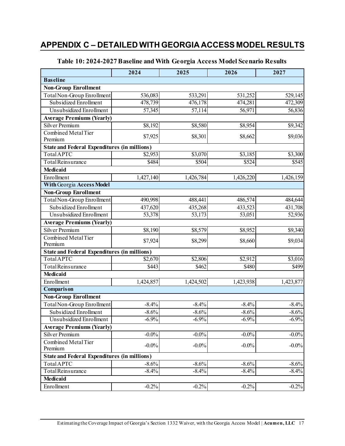# **APPENDIX C – DETAILED WITH GEORGIA ACCESS MODEL RESULTS**

<span id="page-20-1"></span>

|                                                     | 2024      | 2025      | 2026      | 2027      |
|-----------------------------------------------------|-----------|-----------|-----------|-----------|
| <b>Baseline</b>                                     |           |           |           |           |
| <b>Non-Group Enrollment</b>                         |           |           |           |           |
| Total Non-Group Enrollment                          | 536,083   | 533,291   | 531,252   | 529,145   |
| Subsidized Enrollment                               | 478,739   | 476,178   | 474,281   | 472,309   |
| Unsubsidized Enrollment                             | 57,345    | 57,114    | 56,971    | 56,836    |
| <b>Average Premiums (Yearly)</b>                    |           |           |           |           |
| <b>Silver Premium</b>                               | \$8,192   | \$8,580   | \$8,954   | \$9,342   |
| Combined Metal Tier                                 | \$7,925   | \$8,301   | \$8,662   | \$9,036   |
| Premium                                             |           |           |           |           |
| <b>State and Federal Expenditures (in millions)</b> |           |           |           |           |
| TotalAPTC                                           | \$2,953   | \$3,070   | \$3,185   | \$3,300   |
| Total Reinsurance                                   | \$484     | \$504     | \$524     | \$545     |
| <b>Medicaid</b>                                     |           |           |           |           |
| Enrollment                                          | 1,427,140 | 1,426,784 | 1,426,220 | 1,426,159 |
| <b>With Georgia Access Model</b>                    |           |           |           |           |
| <b>Non-Group Enrollment</b>                         |           |           |           |           |
| Total Non-Group Enrollment                          | 490,998   | 488,441   | 486,574   | 484,644   |
| Subsidized Enrollment                               | 437,620   | 435,268   | 433,523   | 431,708   |
| Unsubsidized Enrollment                             | 53,378    | 53,173    | 53,051    | 52,936    |
| <b>Average Premiums (Yearly)</b>                    |           |           |           |           |
| <b>Silver Premium</b>                               | \$8,190   | \$8,579   | \$8,952   | \$9,340   |
| Combined Metal Tier<br>Premium                      | \$7,924   | \$8,299   | \$8,660   | \$9,034   |
| <b>State and Federal Expenditures (in millions)</b> |           |           |           |           |
| <b>Total APTC</b>                                   | \$2,670   | \$2,806   | \$2,912   | \$3,016   |
| Total Reinsurance                                   | \$443     | \$462     | \$480     | \$499     |
| <b>Medicaid</b>                                     |           |           |           |           |
| Enrollment                                          | 1,424,857 | 1,424,502 | 1,423,938 | 1,423,877 |
| <b>Comparison</b>                                   |           |           |           |           |
| <b>Non-Group Enrollment</b>                         |           |           |           |           |
| Total Non-Group Enrollment                          | $-8.4%$   | $-8.4%$   | $-8.4%$   | $-8.4%$   |
| Subsidized Enrollment                               | $-8.6%$   | $-8.6%$   | $-8.6%$   | $-8.6%$   |
| Unsubsidized Enrollment                             | $-6.9\%$  | $-6.9%$   | $-6.9%$   | $-6.9\%$  |
| <b>Average Premiums (Yearly)</b>                    |           |           |           |           |
| Silver Premium                                      | $-0.0\%$  | $-0.0\%$  | $-0.0\%$  | $-0.0\%$  |
| Combined Metal Tier                                 | $-0.0\%$  | $-0.0\%$  | $-0.0\%$  | $-0.0\%$  |
| Premium                                             |           |           |           |           |
| <b>State and Federal Expenditures (in millions)</b> |           |           |           |           |
| <b>Total APTC</b>                                   | $-8.6%$   | $-8.6%$   | $-8.6%$   | $-8.6%$   |
| Total Reinsurance                                   | $-8.4%$   | $-8.4%$   | $-8.4%$   | $-8.4%$   |
| <b>Medicaid</b>                                     |           |           |           |           |
| Enrollment                                          | $-0.2%$   | $-0.2%$   | $-0.2%$   | $-0.2%$   |

#### <span id="page-20-0"></span>**Table 10: 2024-2027 Baseline and With Georgia Access Model Scenario Results**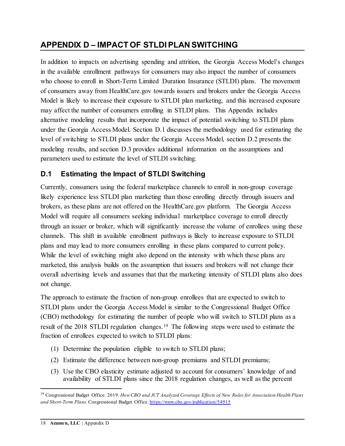# <span id="page-21-0"></span>**APPENDIX D – IMPACT OF STLDI PLAN SWITCHING**

In addition to impacts on advertising spending and attrition, the Georgia Access Model's changes in the available enrollment pathways for consumers may also impact the number of consumers who choose to enroll in Short-Term Limited Duration Insurance (STLDI) plans. The movement of consumers away from HealthCare.gov towards issuers and brokers under the Georgia Access Model is likely to increase their exposure to STLDI plan marketing, and this increased exposure may affect the number of consumers enrolling in STLDI plans. This Appendix includes alternative modeling results that incorporate the impact of potential switching to STLDI plans under the Georgia Access Model. Section D.1 discusses the methodology used for estimating the level of switching to STLDI plans under the Georgia Access Model, section D.2 presents the modeling results, and section D.3 provides additional information on the assumptions and parameters used to estimate the level of STLDI switching.

# <span id="page-21-1"></span>**D.1 Estimating the Impact of STLDI Switching**

Currently, consumers using the federal marketplace channels to enroll in non-group coverage likely experience less STLDI plan marketing than those enrolling directly through issuers and brokers, as these plans are not offered on the HealthCare.gov platform. The Georgia Access Model will require all consumers seeking individual marketplace coverage to enroll directly through an issuer or broker, which will significantly increase the volume of enrollees using these channels. This shift in available enrollment pathways is likely to increase exposure to STLDI plans and may lead to more consumers enrolling in these plans compared to current policy. While the level of switching might also depend on the intensity with which these plans are marketed, this analysis builds on the assumption that issuers and brokers will not change their overall advertising levels and assumes that that the marketing intensity of STLDI plans also does not change.

The approach to estimate the fraction of non-group enrollees that are expected to switch to STLDI plans under the Georgia Access Model is similar to the Congressional Budget Office (CBO) methodology for estimating the number of people who will switch to STLDI plans as a result of the 2018 STLDI regulation changes.[19](#page-21-2) The following steps were used to estimate the fraction of enrollees expected to switch to STLDI plans:

- (1) Determine the population eligible to switch to STLDI plans;
- (2) Estimate the difference between non-group premiums and STLDI premiums;
- (3) Use the CBO elasticity estimate adjusted to account for consumers' knowledge of and availability of STLDI plans since the 2018 regulation changes, as well as the percent

 $\overline{a}$ 

<span id="page-21-2"></span><sup>19</sup> Congressional Budget Office. 2019. *How CBO and JCT Analyzed Coverage Effects of New Rules for Association Health Plans and Short-Term Plans.* Congressional Budget Office. <https://www.cbo.gov/publication/54915>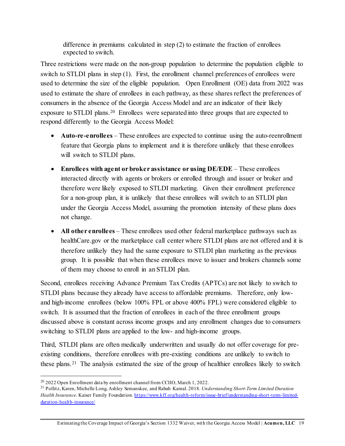difference in premiums calculated in step (2) to estimate the fraction of enrollees expected to switch.

Three restrictions were made on the non-group population to determine the population eligible to switch to STLDI plans in step (1). First, the enrollment channel preferences of enrollees were used to determine the size of the eligible population. Open Enrollment (OE) data from 2022 was used to estimate the share of enrollees in each pathway, as these shares reflect the preferences of consumers in the absence of the Georgia Access Model and are an indicator of their likely exposure to STLDI plans.<sup>[20](#page-22-0)</sup> Enrollees were separated into three groups that are expected to respond differently to the Georgia Access Model:

- **Auto-re-enrollees** These enrollees are expected to continue using the auto-reenrollment feature that Georgia plans to implement and it is therefore unlikely that these enrollees will switch to STLDI plans.
- **Enrollees with agent or broker assistance or using DE/EDE** These enrollees interacted directly with agents or brokers or enrolled through and issuer or broker and therefore were likely exposed to STLDI marketing. Given their enrollment preference for a non-group plan, it is unlikely that these enrollees will switch to an STLDI plan under the Georgia Access Model, assuming the promotion intensity of these plans does not change.
- **All other enrollees** These enrollees used other federal marketplace pathways such as healthCare.gov or the marketplace call center where STLDI plans are not offered and it is therefore unlikely they had the same exposure to STLDI plan marketing as the previous group. It is possible that when these enrollees move to issuer and brokers channels some of them may choose to enroll in an STLDI plan.

Second, enrollees receiving Advance Premium Tax Credits (APTCs) are not likely to switch to STLDI plans because they already have access to affordable premiums. Therefore, only lowand high-income enrollees (below 100% FPL or above 400% FPL) were considered eligible to switch. It is assumed that the fraction of enrollees in each of the three enrollment groups discussed above is constant across income groups and any enrollment changes due to consumers switching to STLDI plans are applied to the low- and high-income groups.

Third, STLDI plans are often medically underwritten and usually do not offer coverage for preexisting conditions, therefore enrollees with pre-existing conditions are unlikely to switch to these plans.[21](#page-22-1) The analysis estimated the size of the group of healthier enrollees likely to switch

l

<span id="page-22-1"></span><span id="page-22-0"></span><sup>&</sup>lt;sup>20</sup> 2022 Open Enrollment data by enrollment channel from CCIIO, March 1, 2022.<br><sup>21</sup> Pollitz, Karen, Michelle Long, Ashley Semanskee, and Rabah Kamal. 2018. *Understanding Short-Term Limited Duration Health Insurance*. Kaiser Family Foundation. [https://www.kff.org/health-reform/issue-brief/understanding-short-term-limited](https://www.kff.org/health-reform/issue-brief/understanding-short-term-limited-duration-health-insurance/)[duration-health-insurance/](https://www.kff.org/health-reform/issue-brief/understanding-short-term-limited-duration-health-insurance/)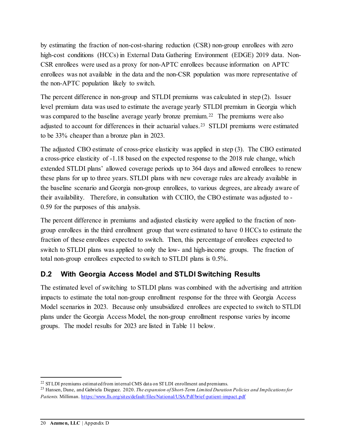by estimating the fraction of non-cost-sharing reduction (CSR) non-group enrollees with zero high-cost conditions (HCCs) in External Data Gathering Environment (EDGE) 2019 data. Non-CSR enrollees were used as a proxy for non-APTC enrollees because information on APTC enrollees was not available in the data and the non-CSR population was more representative of the non-APTC population likely to switch.

The percent difference in non-group and STLDI premiums was calculated in step (2). Issuer level premium data was used to estimate the average yearly STLDI premium in Georgia which was compared to the baseline average yearly bronze premium.[22](#page-23-1) The premiums were also adjusted to account for differences in their actuarial values.[23](#page-23-2) STLDI premiums were estimated to be 33% cheaper than a bronze plan in 2023.

The adjusted CBO estimate of cross-price elasticity was applied in step (3). The CBO estimated a cross-price elasticity of -1.18 based on the expected response to the 2018 rule change, which extended STLDI plans' allowed coverage periods up to 364 days and allowed enrollees to renew these plans for up to three years. STLDI plans with new coverage rules are already available in the baseline scenario and Georgia non-group enrollees, to various degrees, are already aware of their availability. Therefore, in consultation with CCIIO, the CBO estimate was adjusted to - 0.59 for the purposes of this analysis.

The percent difference in premiums and adjusted elasticity were applied to the fraction of nongroup enrollees in the third enrollment group that were estimated to have 0 HCCs to estimate the fraction of these enrollees expected to switch. Then, this percentage of enrollees expected to switch to STLDI plans was applied to only the low- and high-income groups. The fraction of total non-group enrollees expected to switch to STLDI plans is 0.5%.

#### <span id="page-23-0"></span>**D.2 With Georgia Access Model and STLDI Switching Results**

The estimated level of switching to STLDI plans was combined with the advertising and attrition impacts to estimate the total non-group enrollment response for the three with Georgia Access Model scenarios in 2023. Because only unsubsidized enrollees are expected to switch to STLDI plans under the Georgia Access Model, the non-group enrollment response varies by income groups. The model results for 2023 are listed in Table 11 below.

 $\overline{a}$ 

<span id="page-23-1"></span><sup>&</sup>lt;sup>22</sup> STLDI premiums estimated from internal CMS data on STLDI enrollment and premiums.

<span id="page-23-2"></span><sup>23</sup> Hansen, Dane, and Gabriela Dieguez. 2020. *The expansion of Short-Term Limited Duration Policies and Implications for Patients.* Milliman.<https://www.lls.org/sites/default/files/National/USA/Pdf/brief-patient-impact.pdf>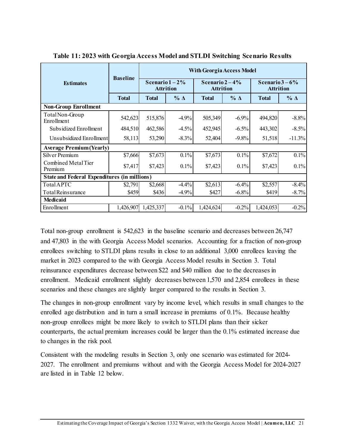<span id="page-24-0"></span>

|                                                     | <b>Baseline</b> | <b>With Georgia Access Model</b>     |            |                                     |            |                                      |            |
|-----------------------------------------------------|-----------------|--------------------------------------|------------|-------------------------------------|------------|--------------------------------------|------------|
| <b>Estimates</b>                                    |                 | Scenario $1-2\%$<br><b>Attrition</b> |            | Scenario $2-4%$<br><b>Attrition</b> |            | Scenario $3-6\%$<br><b>Attrition</b> |            |
|                                                     | <b>Total</b>    | <b>Total</b>                         | $% \Delta$ | <b>Total</b>                        | $% \Delta$ | <b>Total</b>                         | $% \Delta$ |
| <b>Non-Group Enrollment</b>                         |                 |                                      |            |                                     |            |                                      |            |
| Total Non-Group<br>Enrollment                       | 542,623         | 515,876                              | $-4.9%$    | 505,349                             | $-6.9\%$   | 494,820                              | $-8.8%$    |
| Subsidized Enrollment                               | 484,510         | 462,586                              | $-4.5%$    | 452,945                             | $-6.5\%$   | 443,302                              | $-8.5\%$   |
| Unsubsidized Enrollment                             | 58,113          | 53,290                               | $-8.3\%$   | 52,404                              | $-9.8%$    | 51,518                               | $-11.3%$   |
| <b>Average Premium (Yearly)</b>                     |                 |                                      |            |                                     |            |                                      |            |
| Silver Premium                                      | \$7,666         | \$7,673                              | 0.1%       | \$7,673                             | $0.1\%$    | \$7,672                              | 0.1%       |
| Combined Metal Tier<br>Premium                      | \$7,417         | \$7,423                              | 0.1%       | \$7,423                             | 0.1%       | \$7,423                              | $0.1\%$    |
| <b>State and Federal Expenditures (in millions)</b> |                 |                                      |            |                                     |            |                                      |            |
| TotalAPTC                                           | \$2,791         | \$2,668                              | $-4.4%$    | \$2,613                             | $-6.4%$    | \$2,557                              | $-8.4%$    |
| Total Reinsurance                                   | \$459           | \$436                                | $-4.9%$    | \$427                               | $-6.8\%$   | \$419                                | $-8.7%$    |
| <b>Medicaid</b>                                     |                 |                                      |            |                                     |            |                                      |            |
| Enrollment                                          | 1,426,907       | 1,425,337                            | $-0.1%$    | 1,424,624                           | $-0.2%$    | 1,424,053                            | $-0.2%$    |

**Table 11: 2023 with Georgia Access Model and STLDI Switching Scenario Results** 

Total non-group enrollment is 542,623 in the baseline scenario and decreases between 26,747 and 47,803 in the with Georgia Access Model scenarios. Accounting for a fraction of non-group enrollees switching to STLDI plans results in close to an additional 3,000 enrollees leaving the market in 2023 compared to the with Georgia Access Model results in Section 3. Total reinsurance expenditures decrease between \$22 and \$40 million due to the decreases in enrollment. Medicaid enrollment slightly decreases between 1,570 and 2,854 enrollees in these scenarios and these changes are slightly larger compared to the results in Section 3.

The changes in non-group enrollment vary by income level, which results in small changes to the enrolled age distribution and in turn a small increase in premiums of 0.1%. Because healthy non-group enrollees might be more likely to switch to STLDI plans than their sicker counterparts, the actual premium increases could be larger than the 0.1% estimated increase due to changes in the risk pool.

Consistent with the modeling results in Section 3, only one scenario was estimated for 2024- 2027. The enrollment and premiums without and with the Georgia Access Model for 2024-2027 are listed in in Table 12 below.